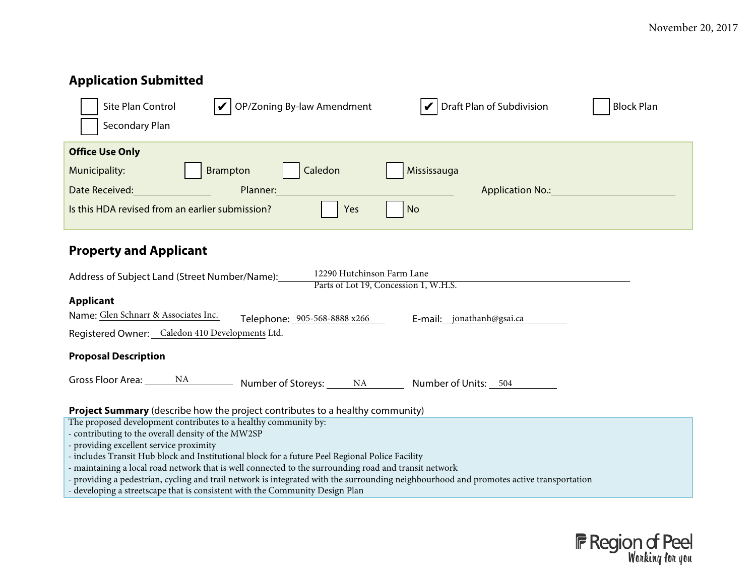#### **Application Submitted** Site Plan Control  $\bigvee$  OP/Zoning By-law Amendment  $\bigvee$  Draft Plan of Subdivision  $\bigcup$  Block Plan Secondary Plan **Office Use Only** Municipality: **Brampton** Caledon Municipality: Date Received: <u>New York: Planner: Planner: Planner: Application No.: Application No.: New York: New York: New York: New York: New York: New York: New York: New York: New York: New York: New York: New York: New York: New Y</u> Is this HDA revised from an earlier submission?  $\blacksquare$  Yes  $\blacksquare$ **Property and Applicant** Address of Subject Land (Street Number/Name): **Applicant** Name: Glen Schnarr & Associates Inc. Telephone: 1905-568-8888 x266 Femail: jonathanh@gsai.ca Registered Owner: Caledon 410 Developments Ltd. **Proposal Description** Gross Floor Area: \_\_\_\_\_\_\_ NA \_\_\_\_\_\_\_\_\_\_\_ Number of Storeys: \_\_\_\_\_\_ NA \_\_\_\_\_\_\_\_\_ Number of Units: \_\_509 **Project Summary** (describe how the project contributes to a healthy community) x The proposed development contributes to a healthy community by: - contributing to the overall density of the MW2SP 12290 Hutchinson Farm Lane Parts of Lot 19, Concession 1, W.H.S.

- providing excellent service proximity
- includes Transit Hub block and Institutional block for a future Peel Regional Police Facility
- maintaining a local road network that is well connected to the surrounding road and transit network
- providing a pedestrian, cycling and trail network is integrated with the surrounding neighbourhood and promotes active transportation
- developing a streetscape that is consistent with the Community Design Plan

- includes Peel Living Affordable Housing as per the community-wide draft DSSP

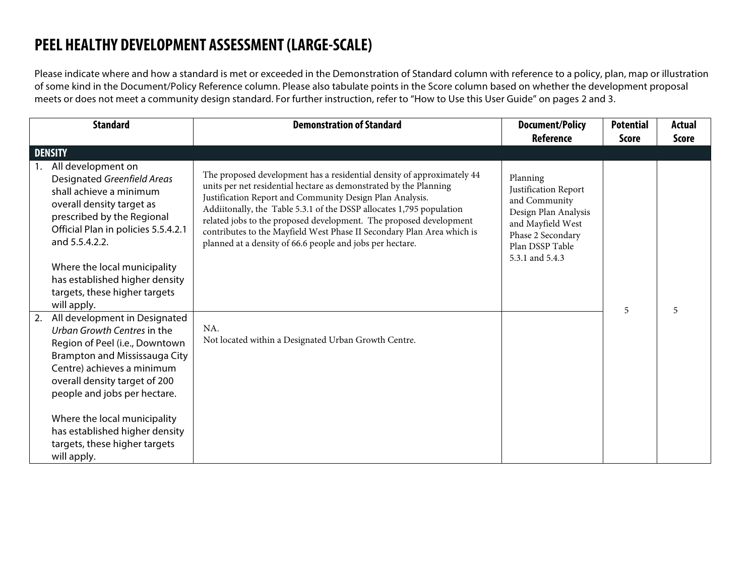## **PEEL HEALTHY DEVELOPMENT ASSESSMENT (LARGE-SCALE)**

Please indicate where and how a standard is met or exceeded in the Demonstration of Standard column with reference to a policy, plan, map or illustration of some kind in the Document/Policy Reference column. Please also tabulate points in the Score column based on whether the development proposal meets or does not meet a community design standard. For further instruction, refer to "How to Use this User Guide" on pages 2 and 3.

| <b>Standard</b>                                                                                                                                                                                                                   | <b>Demonstration of Standard</b>                                                                                                                                                                                                                                                                                                                                                                                                                                                                                                                       | <b>Document/Policy</b><br>Reference                                                                                                                       | <b>Potential</b><br><b>Score</b> | <b>Actual</b><br><b>Score</b> |
|-----------------------------------------------------------------------------------------------------------------------------------------------------------------------------------------------------------------------------------|--------------------------------------------------------------------------------------------------------------------------------------------------------------------------------------------------------------------------------------------------------------------------------------------------------------------------------------------------------------------------------------------------------------------------------------------------------------------------------------------------------------------------------------------------------|-----------------------------------------------------------------------------------------------------------------------------------------------------------|----------------------------------|-------------------------------|
| <b>DENSITY</b>                                                                                                                                                                                                                    |                                                                                                                                                                                                                                                                                                                                                                                                                                                                                                                                                        |                                                                                                                                                           |                                  |                               |
| All development on<br>Designated Greenfield Areas<br>shall achieve a minimum<br>overall density target as<br>prescribed by the Regional<br>Official Plan in policies 5.5.4.2.1<br>and 5.5.4.2.2.                                  | The proposed development has a residential density of approximately 43<br>units per net residential hectare as demonstrated by the Planning<br>Justification Report and Community Design Plan Analysis.<br>Additonally, the Table 5.3.1 of the DSSP (2nd Draft) allocates 1,795<br>population related jobs to the proposed development including the<br>abutting Region of Peel lands. The proposed development contributes<br>to the Mayfield West Phase II Secondary Plan Area which is planned at<br>a density of 66.6 people and jobs per hectare. | Planning<br>Justification Report<br>and Community<br>Design Plan Analysis<br>and Mayfield West<br>Phase 2 Secondary<br>Plan DSSP Table<br>5.3.1 and 5.4.3 |                                  |                               |
| Where the local municipality<br>has established higher density<br>targets, these higher targets<br>will apply.                                                                                                                    |                                                                                                                                                                                                                                                                                                                                                                                                                                                                                                                                                        |                                                                                                                                                           | 5                                | 5                             |
| 2. All development in Designated<br>Urban Growth Centres in the<br>Region of Peel (i.e., Downtown<br>Brampton and Mississauga City<br>Centre) achieves a minimum<br>overall density target of 200<br>people and jobs per hectare. | NA.<br>Not located within a Designated Urban Growth Centre.                                                                                                                                                                                                                                                                                                                                                                                                                                                                                            |                                                                                                                                                           |                                  |                               |
| Where the local municipality<br>has established higher density<br>targets, these higher targets<br>will apply.                                                                                                                    |                                                                                                                                                                                                                                                                                                                                                                                                                                                                                                                                                        |                                                                                                                                                           |                                  |                               |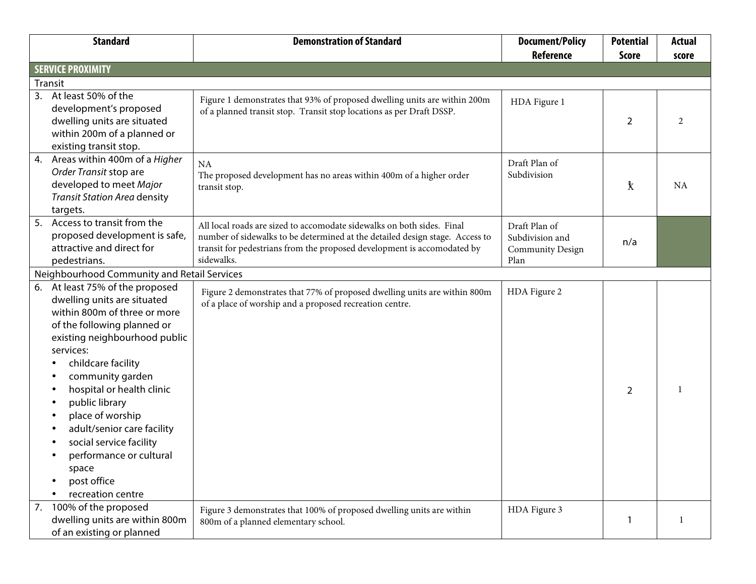|    | <b>Standard</b>                                                                                                                                                                                                                                                                                                                                                                                                        | <b>Demonstration of Standard</b>                                                                                                                                                                                                                | <b>Document/Policy</b>                                              | <b>Potential</b> | <b>Actual</b> |
|----|------------------------------------------------------------------------------------------------------------------------------------------------------------------------------------------------------------------------------------------------------------------------------------------------------------------------------------------------------------------------------------------------------------------------|-------------------------------------------------------------------------------------------------------------------------------------------------------------------------------------------------------------------------------------------------|---------------------------------------------------------------------|------------------|---------------|
|    |                                                                                                                                                                                                                                                                                                                                                                                                                        |                                                                                                                                                                                                                                                 | <b>Reference</b>                                                    | <b>Score</b>     | score         |
|    | <b>SERVICE PROXIMITY</b>                                                                                                                                                                                                                                                                                                                                                                                               |                                                                                                                                                                                                                                                 |                                                                     |                  |               |
|    | Transit                                                                                                                                                                                                                                                                                                                                                                                                                |                                                                                                                                                                                                                                                 |                                                                     |                  |               |
| 3. | At least 50% of the<br>development's proposed<br>dwelling units are situated<br>within 200m of a planned or<br>existing transit stop.                                                                                                                                                                                                                                                                                  | Figure 1 demonstrates that 93% of proposed dwelling units are within 200m<br>of a planned transit stop. Transit stop locations as per Draft DSSP.                                                                                               | HDA Figure 1                                                        | 2                | 2             |
| 4. | Areas within 400m of a Higher<br>Order Transit stop are<br>developed to meet Major<br><b>Transit Station Area density</b><br>targets.                                                                                                                                                                                                                                                                                  | NA<br>The proposed development has no areas within 400m of a higher order<br>transit stop.                                                                                                                                                      | Draft Plan of<br>Subdivision                                        | 1                | NA            |
| 5. | Access to transit from the<br>proposed development is safe,<br>attractive and direct for<br>pedestrians.                                                                                                                                                                                                                                                                                                               | All local roads are sized to accomodate sidewalks on both sides. Final<br>number of sidewalks to be determined at the detailed design stage. Access to<br>transit for pedestrians from the proposed development is accomodated by<br>sidewalks. | Draft Plan of<br>Subdivision and<br><b>Community Design</b><br>Plan | n/a              |               |
|    | Neighbourhood Community and Retail Services                                                                                                                                                                                                                                                                                                                                                                            |                                                                                                                                                                                                                                                 |                                                                     |                  |               |
| 6. | At least 75% of the proposed<br>dwelling units are situated<br>within 800m of three or more<br>of the following planned or<br>existing neighbourhood public<br>services:<br>childcare facility<br>community garden<br>hospital or health clinic<br>public library<br>place of worship<br>adult/senior care facility<br>social service facility<br>performance or cultural<br>space<br>post office<br>recreation centre | Figure 2 demonstrates that 100% of proposed dwelling units are within<br>800m of a proposed recreation centre, a public library and a place of<br>worship                                                                                       | HDA Figure 2                                                        | 2                | 2             |
| 7. | 100% of the proposed<br>dwelling units are within 800m<br>of an existing or planned                                                                                                                                                                                                                                                                                                                                    | Figure 3 demonstrates that 96% of proposed dwelling units are within<br>800m of a planned or existing elementary school.                                                                                                                        | HDA Figure 3                                                        |                  | 0.5           |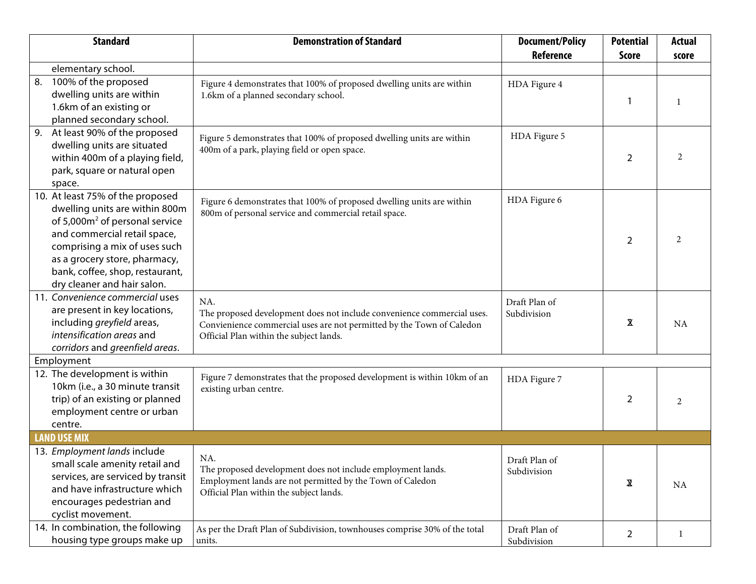| <b>Standard</b>                                                                                                                                                                                                                                                                      | <b>Demonstration of Standard</b>                                                                                                                                                                                            | <b>Document/Policy</b>       | <b>Potential</b> | <b>Actual</b>  |
|--------------------------------------------------------------------------------------------------------------------------------------------------------------------------------------------------------------------------------------------------------------------------------------|-----------------------------------------------------------------------------------------------------------------------------------------------------------------------------------------------------------------------------|------------------------------|------------------|----------------|
|                                                                                                                                                                                                                                                                                      |                                                                                                                                                                                                                             | Reference                    | <b>Score</b>     | score          |
| elementary school.                                                                                                                                                                                                                                                                   |                                                                                                                                                                                                                             |                              |                  |                |
| 100% of the proposed<br>8.<br>dwelling units are within<br>1.6km of an existing or<br>planned secondary school.                                                                                                                                                                      | Figure 4 demonstrates that 100% of proposed dwelling units are within<br>1.6km of a planned or existing secondary school.                                                                                                   | HDA Figure 4                 | -1               |                |
| At least 90% of the proposed<br>9.<br>dwelling units are situated<br>within 400m of a playing field,<br>park, square or natural open<br>space.                                                                                                                                       | Figure 5 demonstrates that 100% of proposed dwelling units are within<br>400m of a park, playing field, square or natural open space.                                                                                       | HDA Figure 5                 | 2                | $\mathfrak{D}$ |
| 10. At least 75% of the proposed<br>dwelling units are within 800m<br>of 5,000m <sup>2</sup> of personal service<br>and commercial retail space,<br>comprising a mix of uses such<br>as a grocery store, pharmacy,<br>bank, coffee, shop, restaurant,<br>dry cleaner and hair salon. | Figure 6 demonstrates that 100% of proposed dwelling units are within<br>800m of personal service and commercial retail space.                                                                                              | HDA Figure 6                 | $\overline{2}$   | 2              |
| 11. Convenience commercial uses<br>are present in key locations,<br>including greyfield areas,<br>intensification areas and<br>corridors and greenfield areas.                                                                                                                       | Consistent with the Mayfield West Phase II Secondary Plan, the General<br>Commercial zone allows for convienience commercial type uses and<br>proposes them to be located adjacent and to the west of Hurontario<br>Street. | Draft Plan of<br>Subdivision | 2                | 2              |
| Employment                                                                                                                                                                                                                                                                           |                                                                                                                                                                                                                             |                              |                  |                |
| 12. The development is within<br>10km (i.e., a 30 minute transit<br>trip) of an existing or planned<br>employment centre or urban<br>centre.                                                                                                                                         | Figure 7 demonstrates that the proposed development is within 10km of an<br>existing urban centre.                                                                                                                          | HDA Figure 7                 | 2                | 2              |
| <b>LAND USE MIX</b>                                                                                                                                                                                                                                                                  |                                                                                                                                                                                                                             |                              |                  |                |
| 13. Employment lands include<br>small scale amenity retail and<br>services, are serviced by transit<br>and have infrastructure which<br>encourages pedestrian and<br>cyclist movement.                                                                                               | NA.<br>The proposed development does not include employment lands.<br>Employment lands are not permitted by the Town of Caledon<br>Official Plan within the subject lands.                                                  | Draft Plan of<br>Subdivision | 2                | NA             |
| 14. In combination, the following<br>housing type groups make up                                                                                                                                                                                                                     | As per the Draft Plan of Subdivision, townhouses comprise 61% of the total<br>units.                                                                                                                                        | Draft Plan of<br>Subdivision | $\overline{2}$   | $\overline{c}$ |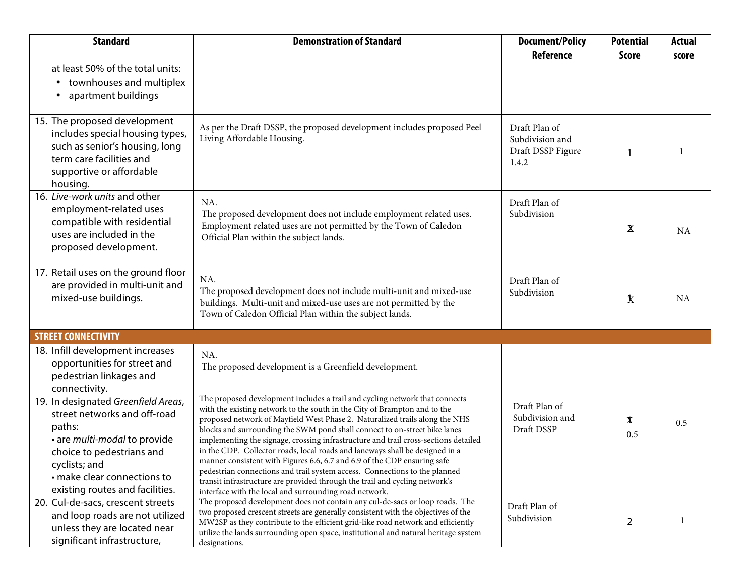| <b>Standard</b>                                                                                                                                                                                                               | <b>Demonstration of Standard</b>                                                                                                                                                                                                                                                                                                                                                                                                                                                                                                                                                                                                                                                                                                  | <b>Document/Policy</b>                                       | <b>Potential</b> | <b>Actual</b> |
|-------------------------------------------------------------------------------------------------------------------------------------------------------------------------------------------------------------------------------|-----------------------------------------------------------------------------------------------------------------------------------------------------------------------------------------------------------------------------------------------------------------------------------------------------------------------------------------------------------------------------------------------------------------------------------------------------------------------------------------------------------------------------------------------------------------------------------------------------------------------------------------------------------------------------------------------------------------------------------|--------------------------------------------------------------|------------------|---------------|
|                                                                                                                                                                                                                               |                                                                                                                                                                                                                                                                                                                                                                                                                                                                                                                                                                                                                                                                                                                                   | <b>Reference</b>                                             | <b>Score</b>     | score         |
| at least 50% of the total units:<br>townhouses and multiplex<br>$\bullet$<br>apartment buildings                                                                                                                              |                                                                                                                                                                                                                                                                                                                                                                                                                                                                                                                                                                                                                                                                                                                                   |                                                              |                  |               |
| 15. The proposed development<br>includes special housing types,<br>such as senior's housing, long<br>term care facilities and<br>supportive or affordable<br>housing.                                                         | At this time, it is expected that the subject lands will comprise some<br>affordable housing.                                                                                                                                                                                                                                                                                                                                                                                                                                                                                                                                                                                                                                     | Draft Plan of<br>Subdivision and<br>Draft DSSP Figure<br>2.2 |                  |               |
| 16. Live-work units and other<br>employment-related uses<br>compatible with residential<br>uses are included in the<br>proposed development.                                                                                  | The proposed development includes Commercial land which shall<br>provide for employment-reloated uses.                                                                                                                                                                                                                                                                                                                                                                                                                                                                                                                                                                                                                            | Draft Plan of<br>Subdivision                                 | 2                | 2             |
| 17. Retail uses on the ground floor<br>are provided in multi-unit and<br>mixed-use buildings.                                                                                                                                 | NA.<br>The proposed development does not include multi-unit and mixed-use<br>buildings. Multi-unit and mixed-use uses are not permitted by the<br>Town of Caledon Official Plan within the subject lands.                                                                                                                                                                                                                                                                                                                                                                                                                                                                                                                         | Draft Plan of<br>Subdivision                                 | $\mathbf{1}$     | <b>NA</b>     |
| <b>STREET CONNECTIVITY</b>                                                                                                                                                                                                    |                                                                                                                                                                                                                                                                                                                                                                                                                                                                                                                                                                                                                                                                                                                                   |                                                              |                  |               |
| 18. Infill development increases<br>opportunities for street and<br>pedestrian linkages and<br>connectivity.                                                                                                                  | NA.<br>The proposed development is a Greenfield development.                                                                                                                                                                                                                                                                                                                                                                                                                                                                                                                                                                                                                                                                      |                                                              |                  |               |
| 19. In designated Greenfield Areas,<br>street networks and off-road<br>paths:<br>• are multi-modal to provide<br>choice to pedestrians and<br>cyclists; and<br>• make clear connections to<br>existing routes and facilities. | The proposed development includes a trail and cycling network that connects<br>with the proposed network of Mayfield West Phase 2. Naturalized trails along<br>the EPA and Open Space blocks shall connect to on-street bike lanes<br>implementing the signage, crossing infrastructure and trail cross-sections detailed<br>in the CDP. The Spine Road, collector roads, local roads and laneways shall be<br>designed in a manner consistent with Figures 6.4, 6.6, 6.7 and 6.9 of the CDP<br>ensuring safe pedestrian connections and trail system access. Connections to the<br>planned transit infrastructure are provided through the trail and cycling<br>network's interface with the local and surrounding road network. | Draft Plan of<br>Subdivision and<br>Draft DSSP               | $\mathbf{1}$     |               |
| 20. Cul-de-sacs, crescent streets<br>and loop roads are not utilized<br>unless they are located near<br>significant infrastructure,                                                                                           | The proposed development does not contain any cul-de-sacs or loop roads. The<br>proposed crescent street is generally consistent with the objectives of the MW2SP<br>as it contributes to the efficient grid-like road network and efficiently utilize the<br>lands surrounding open space and EPA designations.                                                                                                                                                                                                                                                                                                                                                                                                                  | Draft Plan of<br>Subdivision                                 | 2                | 2             |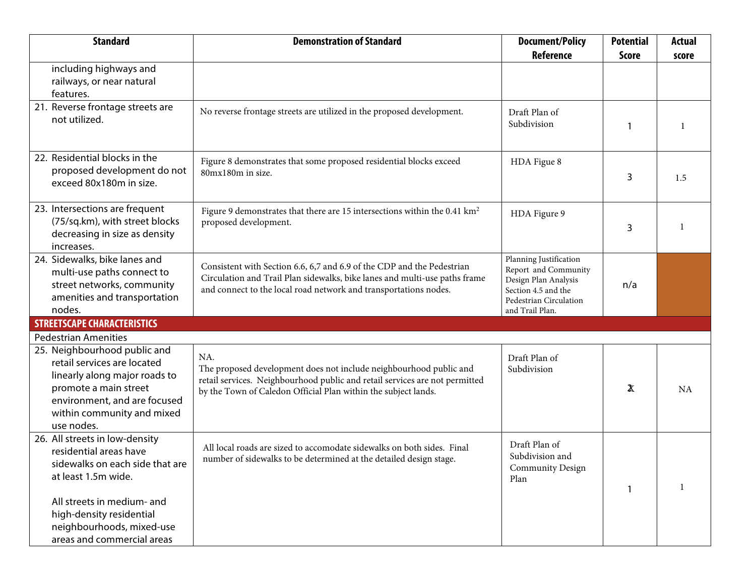| <b>Standard</b>                                                                                                                                                                                                                         | <b>Demonstration of Standard</b>                                                                                                                                                                                                                                           | <b>Document/Policy</b>                                                                                                         | <b>Potential</b> | <b>Actual</b> |
|-----------------------------------------------------------------------------------------------------------------------------------------------------------------------------------------------------------------------------------------|----------------------------------------------------------------------------------------------------------------------------------------------------------------------------------------------------------------------------------------------------------------------------|--------------------------------------------------------------------------------------------------------------------------------|------------------|---------------|
|                                                                                                                                                                                                                                         |                                                                                                                                                                                                                                                                            | <b>Reference</b>                                                                                                               | <b>Score</b>     | score         |
| including highways and<br>railways, or near natural<br>features.                                                                                                                                                                        |                                                                                                                                                                                                                                                                            |                                                                                                                                |                  |               |
| 21. Reverse frontage streets are<br>not utilized.                                                                                                                                                                                       | No reverse frontage streets are utilized in the proposed development.                                                                                                                                                                                                      | Draft Plan of<br>Subdivision                                                                                                   |                  |               |
| 22. Residential blocks in the<br>proposed development do not<br>exceed 80x180m in size.                                                                                                                                                 | Figure 8 demonstrates that some proposed residential blocks exceed<br>80m x 180m in size. Proposed blocks are generally consistent with<br>the approved framework plan.                                                                                                    | HDA Figue 8                                                                                                                    | 3                | 2             |
| 23. Intersections are frequent<br>(75/sq.km), with street blocks<br>decreasing in size as density<br>increases.                                                                                                                         | Figure 9 demonstrates that there are 25 intersections within the 0.38 $\rm km^2$<br>proposed development and therefore extrapolates to 66 intersections per<br>square kilometre.                                                                                           | HDA Figure 9                                                                                                                   | 3                | 2.5           |
| 24. Sidewalks, bike lanes and<br>multi-use paths connect to<br>street networks, community<br>amenities and transportation<br>nodes.                                                                                                     | Consistent with Section 6.6, 6,7 and 6.9 of the CDP and the Pedestrian<br>Circulation and Trail Plan sidewalks, bike lanes and multi-use paths frame<br>and connect to the local road network and transportations nodes.                                                   | Planning Justification<br>Report and Community<br>Design Plan Analysis<br>and the Pedestrian<br>Circulation and Trail<br>Plan. | n/a              |               |
| <b>STREETSCAPE CHARACTERISTICS</b>                                                                                                                                                                                                      |                                                                                                                                                                                                                                                                            |                                                                                                                                |                  |               |
| <b>Pedestrian Amenities</b>                                                                                                                                                                                                             |                                                                                                                                                                                                                                                                            |                                                                                                                                |                  |               |
| 25. Neighbourhood public and<br>retail services are located<br>linearly along major roads to<br>promote a main street<br>environment, and are focused<br>within community and mixed<br>use nodes.                                       | As per the Mayfield West Phase II Secondary Plan, the proposed<br>commercial block located adjacent and to the west of Hurontario Street<br>shall accomodate a variety of commercial uses. Full moves access to the<br>commercial block shall be provided from Street 'B'. | Draft Plan of<br>Subdivision                                                                                                   | 2                | 2             |
| 26. All streets in low-density<br>residential areas have<br>sidewalks on each side that are<br>at least 1.5m wide.<br>All streets in medium- and<br>high-density residential<br>neighbourhoods, mixed-use<br>areas and commercial areas | All local roads are sized to accomodate sidewalks on both sides. Final<br>number of sidewalks to be determined at the detailed design stage.                                                                                                                               | Draft Plan of<br>Subdivision and<br><b>Community Design</b><br>Plan                                                            |                  |               |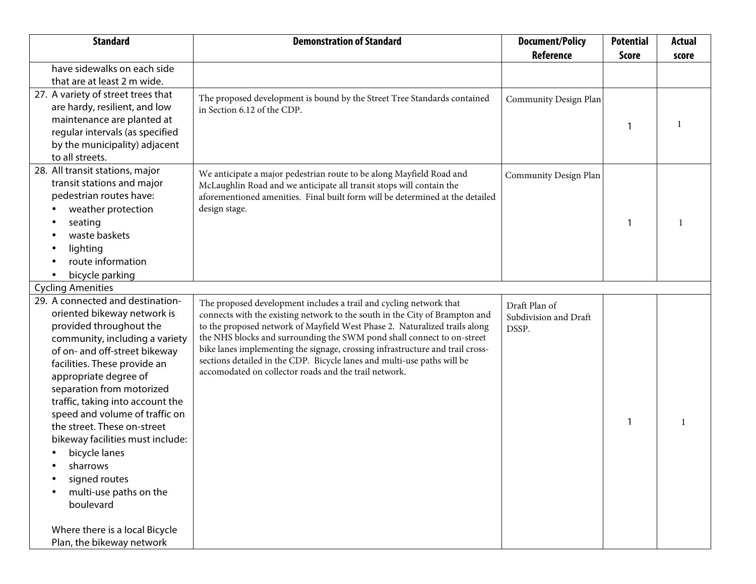| <b>Standard</b>                                            | <b>Demonstration of Standard</b>                                                                                                                             | <b>Document/Policy</b> | <b>Potential</b> | <b>Actual</b> |
|------------------------------------------------------------|--------------------------------------------------------------------------------------------------------------------------------------------------------------|------------------------|------------------|---------------|
|                                                            |                                                                                                                                                              | <b>Reference</b>       | <b>Score</b>     | score         |
| have sidewalks on each side<br>that are at least 2 m wide. |                                                                                                                                                              |                        |                  |               |
| 27. A variety of street trees that                         |                                                                                                                                                              |                        |                  |               |
| are hardy, resilient, and low                              | The proposed development is bound by the Street Tree Standards contained                                                                                     | Community Design Plan  |                  |               |
| maintenance are planted at                                 | in Section 6.12 of the CDP.                                                                                                                                  |                        |                  |               |
| regular intervals (as specified                            |                                                                                                                                                              |                        | -1               |               |
| by the municipality) adjacent                              |                                                                                                                                                              |                        |                  |               |
| to all streets.                                            |                                                                                                                                                              |                        |                  |               |
| 28. All transit stations, major                            |                                                                                                                                                              |                        |                  |               |
| transit stations and major                                 | We anticipate a major pedestrian route to be along the Spine Road and we<br>anticipate all transit stops and the proposed transit hub black will contain the | Community Design Plan  |                  |               |
| pedestrian routes have:                                    | aforementioned amenities. Final built form will be determined at the detailed                                                                                |                        |                  |               |
| weather protection                                         | design stage.                                                                                                                                                |                        |                  |               |
| seating                                                    |                                                                                                                                                              |                        |                  |               |
| waste baskets                                              |                                                                                                                                                              |                        |                  |               |
| lighting                                                   |                                                                                                                                                              |                        |                  |               |
| route information                                          |                                                                                                                                                              |                        |                  |               |
| bicycle parking                                            |                                                                                                                                                              |                        |                  |               |
| <b>Cycling Amenities</b>                                   |                                                                                                                                                              |                        |                  |               |
| 29. A connected and destination-                           | The proposed development includes a trail and cycling network that                                                                                           | Draft Plan of          |                  |               |
| oriented bikeway network is                                | connects with the existing network to the proposed network of Mayfield                                                                                       | Subdivision and Draft  |                  |               |
| provided throughout the                                    | West Phase 2. Naturalized trails along the EPA/Open Space blocks shall                                                                                       | DSSP.                  |                  |               |
| community, including a variety                             | connect to on-street bike lanes implementing the signage, crossing                                                                                           |                        |                  |               |
| of on- and off-street bikeway                              | infrastructure and trail cross-sections detailed in the CDP. Bicycle lanes                                                                                   |                        |                  |               |
| facilities. These provide an                               | and multi-use paths will be accomodated on collector roads and the trail<br>network.                                                                         |                        |                  |               |
| appropriate degree of                                      |                                                                                                                                                              |                        |                  |               |
| separation from motorized                                  |                                                                                                                                                              |                        |                  |               |
| traffic, taking into account the                           |                                                                                                                                                              |                        |                  |               |
| speed and volume of traffic on                             |                                                                                                                                                              |                        | -1               |               |
| the street. These on-street                                |                                                                                                                                                              |                        |                  |               |
| bikeway facilities must include:                           |                                                                                                                                                              |                        |                  |               |
| bicycle lanes                                              |                                                                                                                                                              |                        |                  |               |
| sharrows                                                   |                                                                                                                                                              |                        |                  |               |
| signed routes                                              |                                                                                                                                                              |                        |                  |               |
| multi-use paths on the<br>boulevard                        |                                                                                                                                                              |                        |                  |               |
|                                                            |                                                                                                                                                              |                        |                  |               |
| Where there is a local Bicycle                             |                                                                                                                                                              |                        |                  |               |
| Plan, the bikeway network                                  |                                                                                                                                                              |                        |                  |               |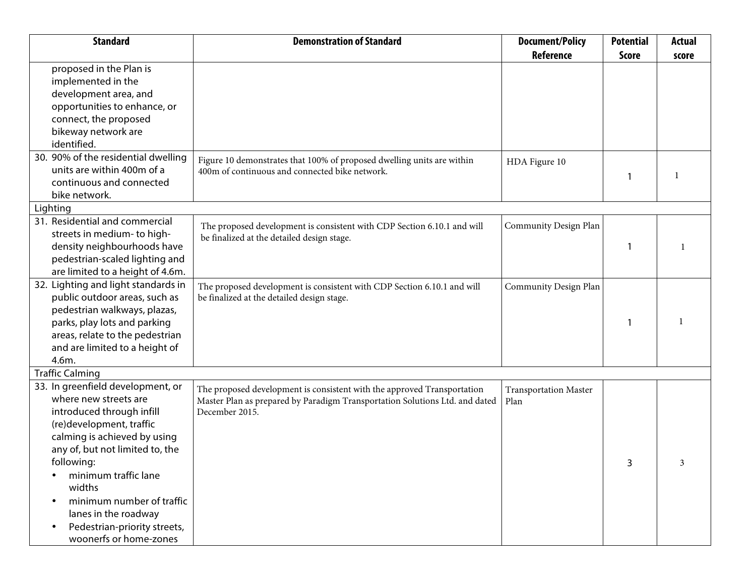| <b>Standard</b>                     | <b>Demonstration of Standard</b>                                            | <b>Document/Policy</b>       | <b>Potential</b> | <b>Actual</b> |
|-------------------------------------|-----------------------------------------------------------------------------|------------------------------|------------------|---------------|
|                                     |                                                                             | Reference                    | <b>Score</b>     | score         |
| proposed in the Plan is             |                                                                             |                              |                  |               |
| implemented in the                  |                                                                             |                              |                  |               |
| development area, and               |                                                                             |                              |                  |               |
| opportunities to enhance, or        |                                                                             |                              |                  |               |
| connect, the proposed               |                                                                             |                              |                  |               |
| bikeway network are                 |                                                                             |                              |                  |               |
| identified.                         |                                                                             |                              |                  |               |
| 30. 90% of the residential dwelling | Figure 10 demonstrates that 100% of proposed dwelling units are within      | HDA Figure 10                |                  |               |
| units are within 400m of a          | 400m of continuous and connected bike network.                              |                              |                  |               |
| continuous and connected            |                                                                             |                              |                  |               |
| bike network.                       |                                                                             |                              |                  |               |
| Lighting                            |                                                                             |                              |                  |               |
| 31. Residential and commercial      | The proposed development is consistent with CDP Section 6.10.1 and will     | Community Design Plan        |                  |               |
| streets in medium- to high-         | be finalized at the detailed design stage.                                  |                              |                  |               |
| density neighbourhoods have         |                                                                             |                              |                  |               |
| pedestrian-scaled lighting and      |                                                                             |                              |                  |               |
| are limited to a height of 4.6m.    |                                                                             |                              |                  |               |
| 32. Lighting and light standards in | The proposed development is consistent with CDP Section 6.10.1 and will     | Community Design Plan        |                  |               |
| public outdoor areas, such as       | be finalized at the detailed design stage.                                  |                              |                  |               |
| pedestrian walkways, plazas,        |                                                                             |                              |                  |               |
| parks, play lots and parking        |                                                                             |                              |                  |               |
| areas, relate to the pedestrian     |                                                                             |                              |                  |               |
| and are limited to a height of      |                                                                             |                              |                  |               |
| 4.6m.                               |                                                                             |                              |                  |               |
| <b>Traffic Calming</b>              |                                                                             |                              |                  |               |
| 33. In greenfield development, or   | The proposed development is consistent with the approved Transportation     | <b>Transportation Master</b> |                  |               |
| where new streets are               | Master Plan as prepared by Paradigm Transportation Solutions Ltd. and dated | Plan                         |                  |               |
| introduced through infill           | December 2015.                                                              |                              |                  |               |
| (re)development, traffic            |                                                                             |                              |                  |               |
| calming is achieved by using        |                                                                             |                              |                  |               |
| any of, but not limited to, the     |                                                                             |                              |                  |               |
| following:                          |                                                                             |                              | 3                | 3             |
| minimum traffic lane                |                                                                             |                              |                  |               |
| widths                              |                                                                             |                              |                  |               |
| minimum number of traffic           |                                                                             |                              |                  |               |
| lanes in the roadway                |                                                                             |                              |                  |               |
| Pedestrian-priority streets,        |                                                                             |                              |                  |               |
| woonerfs or home-zones              |                                                                             |                              |                  |               |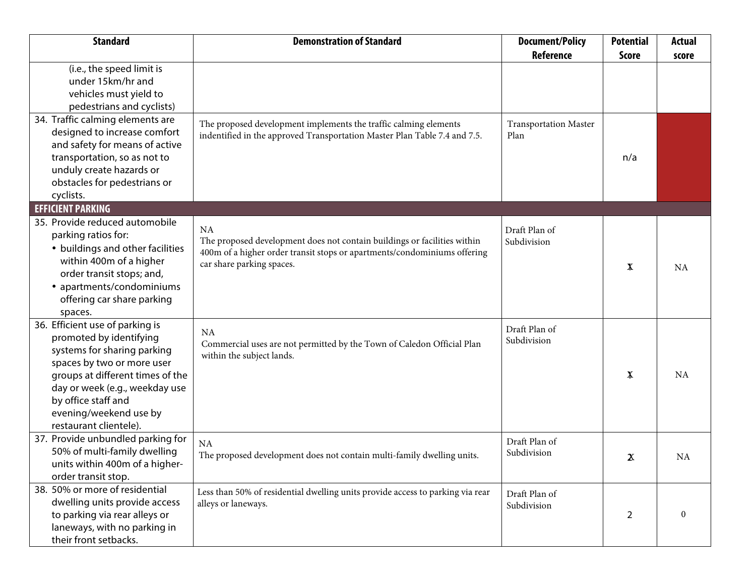| <b>Standard</b>                                               | <b>Demonstration of Standard</b>                                               | <b>Document/Policy</b>       | <b>Potential</b> | <b>Actual</b> |
|---------------------------------------------------------------|--------------------------------------------------------------------------------|------------------------------|------------------|---------------|
|                                                               |                                                                                | Reference                    | <b>Score</b>     | score         |
| (i.e., the speed limit is                                     |                                                                                |                              |                  |               |
| under 15km/hr and                                             |                                                                                |                              |                  |               |
| vehicles must yield to                                        |                                                                                |                              |                  |               |
| pedestrians and cyclists)                                     |                                                                                |                              |                  |               |
| 34. Traffic calming elements are                              | The proposed development implements the traffic calming elements               | <b>Transportation Master</b> |                  |               |
| designed to increase comfort                                  | indentified in the approved Transportation Master Plan Table 7.4 and 7.5.      | Plan                         |                  |               |
| and safety for means of active                                |                                                                                |                              |                  |               |
| transportation, so as not to                                  |                                                                                |                              | n/a              |               |
| unduly create hazards or                                      |                                                                                |                              |                  |               |
| obstacles for pedestrians or                                  |                                                                                |                              |                  |               |
| cyclists.                                                     |                                                                                |                              |                  |               |
| <b>EFFICIENT PARKING</b>                                      |                                                                                |                              |                  |               |
| 35. Provide reduced automobile                                | <b>NA</b>                                                                      | Draft Plan of                |                  |               |
| parking ratios for:                                           | The proposed development does not contain buildings or facilities within       | Subdivision                  |                  |               |
| • buildings and other facilities                              | 400m of a higher order transit stops or apartments/condominiums offering       |                              |                  |               |
| within 400m of a higher                                       | car share parking spaces.                                                      |                              |                  | <b>NA</b>     |
| order transit stops; and,                                     |                                                                                |                              |                  |               |
| • apartments/condominiums                                     |                                                                                |                              |                  |               |
| offering car share parking                                    |                                                                                |                              |                  |               |
| spaces.                                                       |                                                                                |                              |                  |               |
| 36. Efficient use of parking is                               | <b>NA</b>                                                                      | Draft Plan of                |                  |               |
| promoted by identifying                                       | Opportunities to implement shared parking systems shall be determined          | Subdivision                  |                  |               |
| systems for sharing parking                                   | at the detailed design stage for the proposed Commercial block.                |                              |                  |               |
| spaces by two or more user                                    |                                                                                |                              |                  |               |
| groups at different times of the                              |                                                                                |                              | -1               | NA            |
| day or week (e.g., weekday use                                |                                                                                |                              |                  |               |
| by office staff and                                           |                                                                                |                              |                  |               |
| evening/weekend use by                                        |                                                                                |                              |                  |               |
| restaurant clientele).                                        |                                                                                |                              |                  |               |
| 37. Provide unbundled parking for                             | <b>NA</b>                                                                      | Draft Plan of                |                  |               |
| 50% of multi-family dwelling                                  | The proposed development does not contain multi-family dwelling units.         | Subdivision                  | 2                | <b>NA</b>     |
| units within 400m of a higher-                                |                                                                                |                              |                  |               |
| order transit stop.<br>38. 50% or more of residential         |                                                                                |                              |                  |               |
| dwelling units provide access                                 | 50% of residential dwelling units provide access to parking via rear alleys or | Draft Plan of                |                  |               |
|                                                               | laneways.                                                                      | Subdivision                  |                  | 2             |
| to parking via rear alleys or<br>laneways, with no parking in |                                                                                |                              | 2                |               |
| their front setbacks.                                         |                                                                                |                              |                  |               |
|                                                               |                                                                                |                              |                  |               |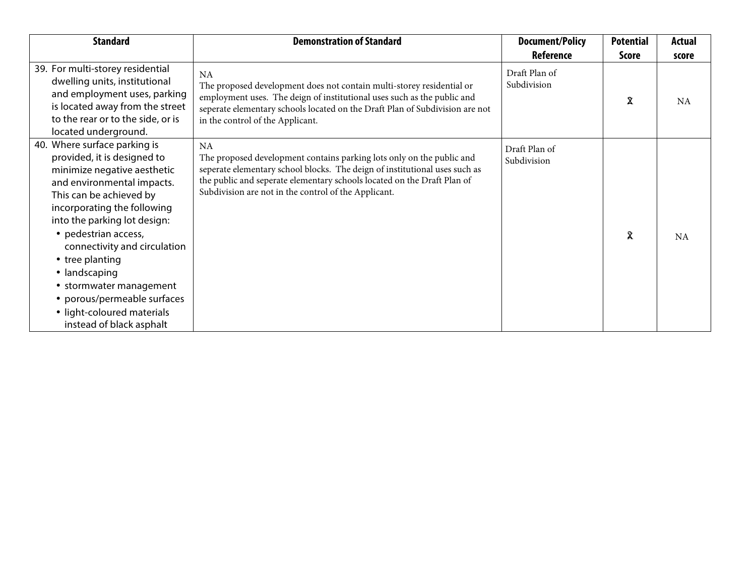| <b>Standard</b>                                                                                                                                                                                                                                                                                                                                                                                                                    | <b>Demonstration of Standard</b>                                                                                                                                                                                                                                        | <b>Document/Policy</b>       | <b>Potential</b> | <b>Actual</b> |
|------------------------------------------------------------------------------------------------------------------------------------------------------------------------------------------------------------------------------------------------------------------------------------------------------------------------------------------------------------------------------------------------------------------------------------|-------------------------------------------------------------------------------------------------------------------------------------------------------------------------------------------------------------------------------------------------------------------------|------------------------------|------------------|---------------|
|                                                                                                                                                                                                                                                                                                                                                                                                                                    |                                                                                                                                                                                                                                                                         | <b>Reference</b>             | Score            | score         |
| 39. For multi-storey residential<br>dwelling units, institutional<br>and employment uses, parking<br>is located away from the street<br>to the rear or to the side, or is<br>located underground.                                                                                                                                                                                                                                  | <b>NA</b><br>The proposed development does not contain multi-storey residential or<br>employment uses. The design of institutional uses such as the Peel Region<br>Police Facility located on the Draft Plan of Subdivision are not in the<br>control of the Applicant. | Draft Plan of<br>Subdivision | 2                | NA            |
| 40. Where surface parking is<br>provided, it is designed to<br>minimize negative aesthetic<br>and environmental impacts.<br>This can be achieved by<br>incorporating the following<br>into the parking lot design:<br>• pedestrian access,<br>connectivity and circulation<br>• tree planting<br>• landscaping<br>• stormwater management<br>• porous/permeable surfaces<br>• light-coloured materials<br>instead of black asphalt | <b>NA</b><br>The proposed development contains parking lots only on the<br>institutional, transit hub and commercial blocks. The deign of these uses<br>located on the Draft Plan of Subdivision are not in the control of the<br>Applicant.                            | Draft Plan of<br>Subdivision | $\mathfrak{D}$   | <b>NA</b>     |